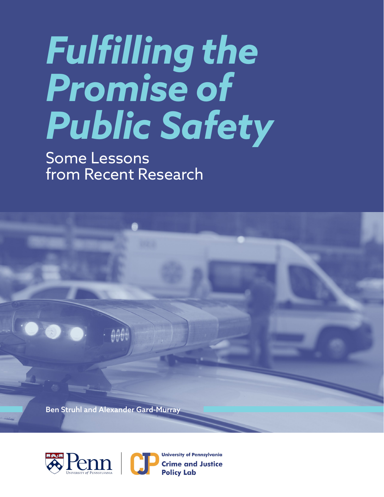# *Fulfilling the Promise of Public Safety*

Some Lessons from Recent Research

Ben Struhl and Alexander Gard-Murray



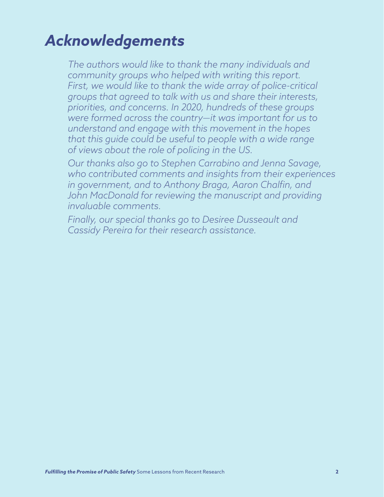# *Acknowledgements*

*The authors would like to thank the many individuals and community groups who helped with writing this report. First, we would like to thank the wide array of police-critical groups that agreed to talk with us and share their interests, priorities, and concerns. In 2020, hundreds of these groups were formed across the country—it was important for us to understand and engage with this movement in the hopes that this guide could be useful to people with a wide range of views about the role of policing in the US.*

*Our thanks also go to Stephen Carrabino and Jenna Savage, who contributed comments and insights from their experiences in government, and to Anthony Braga, Aaron Chalfin, and*  John MacDonald for reviewing the manuscript and providing *invaluable comments.*

*Finally, our special thanks go to Desiree Dusseault and Cassidy Pereira for their research assistance.*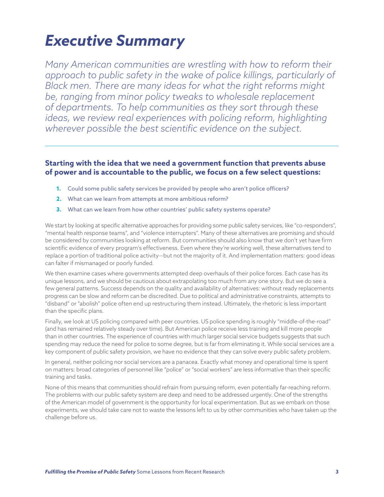# *Executive Summary*

*Many American communities are wrestling with how to reform their approach to public safety in the wake of police killings, particularly of Black men. There are many ideas for what the right reforms might be, ranging from minor policy tweaks to wholesale replacement of departments. To help communities as they sort through these ideas, we review real experiences with policing reform, highlighting wherever possible the best scientific evidence on the subject.*

#### **Starting with the idea that we need a government function that prevents abuse of power and is accountable to the public, we focus on a few select questions:**

- **1.** Could some public safety services be provided by people who aren't police officers?
- **2.** What can we learn from attempts at more ambitious reform?
- **3.** What can we learn from how other countries' public safety systems operate?

We start by looking at specific alternative approaches for providing some public safety services, like "co-responders", "mental health response teams", and "violence interrupters". Many of these alternatives are promising and should be considered by communities looking at reform. But communities should also know that we don't yet have firm scientific evidence of every program's effectiveness. Even where they're working well, these alternatives tend to replace a portion of traditional police activity—but not the majority of it. And implementation matters: good ideas can falter if mismanaged or poorly funded.

We then examine cases where governments attempted deep overhauls of their police forces. Each case has its unique lessons, and we should be cautious about extrapolating too much from any one story. But we do see a few general patterns. Success depends on the quality and availability of alternatives: without ready replacements progress can be slow and reform can be discredited. Due to political and administrative constraints, attempts to "disband" or "abolish" police often end up restructuring them instead. Ultimately, the rhetoric is less important than the specific plans.

Finally, we look at US policing compared with peer countries. US police spending is roughly "middle-of-the-road" (and has remained relatively steady over time). But American police receive less training and kill more people than in other countries. The experience of countries with much larger social service budgets suggests that such spending may reduce the need for police to some degree, but is far from eliminating it. While social services are a key component of public safety provision, we have no evidence that they can solve every public safety problem.

In general, neither policing nor social services are a panacea. Exactly what money and operational time is spent on matters: broad categories of personnel like "police" or "social workers" are less informative than their specific training and tasks.

None of this means that communities should refrain from pursuing reform, even potentially far-reaching reform. The problems with our public safety system are deep and need to be addressed urgently. One of the strengths of the American model of government is the opportunity for local experimentation. But as we embark on those experiments, we should take care not to waste the lessons left to us by other communities who have taken up the challenge before us.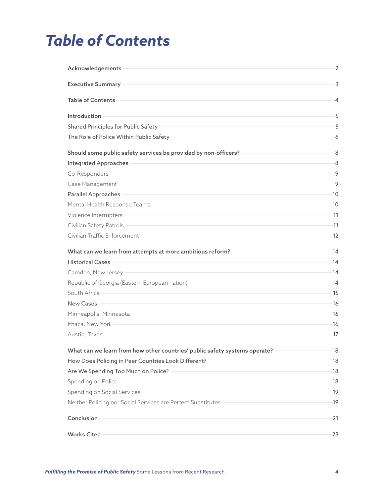# *Table of Contents*

| Acknowledgements                                                                                                                       | $\overline{2}$ |
|----------------------------------------------------------------------------------------------------------------------------------------|----------------|
| <b>Executive Summary</b>                                                                                                               | 3              |
| <b>Table of Contents</b>                                                                                                               | 4              |
| Introduction                                                                                                                           | 5              |
| Shared Principles for Public Safety                                                                                                    | 5              |
| The Role of Police Within Public Safety                                                                                                | 6              |
| Should some public safety services be provided by non-officers?                                                                        | -8             |
| Integrated Approaches                                                                                                                  | 8              |
| Co-Responders                                                                                                                          | 9              |
| Case Management                                                                                                                        | -9             |
| Parallel Approaches                                                                                                                    | 10             |
| Mental Health Response Teams                                                                                                           | 10             |
| Violence Interrupters                                                                                                                  | $-11$          |
| Civilian Safety Patrols                                                                                                                | 11             |
| Civilian Traffic Enforcement                                                                                                           | 12             |
| What can we learn from attempts at more ambitious reform?                                                                              | 14             |
| <b>Historical Cases</b>                                                                                                                | 14             |
| Camden, New Jersey                                                                                                                     | 14             |
| Republic of Georgia (Eastern European nation)                                                                                          | 14             |
| South Africa                                                                                                                           | 15             |
| <b>New Cases</b>                                                                                                                       | 16             |
| Minneapolis, Minnesota                                                                                                                 | -16            |
| Ithaca, New York                                                                                                                       | 16             |
| Austin, Texas                                                                                                                          | 17             |
| What can we learn from how other countries' public safety systems operate? -                                                           | 18             |
| How Does Policing in Peer Countries Look Different?                                                                                    | 18             |
| Are We Spending Too Much on Police?                                                                                                    | 18             |
| Spending on Police<br>and the control of the control of the control of the control of the control of the control of the control of the | 18             |
| Spending on Social Services                                                                                                            | 19             |
| Neither Policing nor Social Services are Perfect Substitutes - The Manuscription of the Manuscription                                  | -19            |
| Conclusion                                                                                                                             | $-21$          |
| <b>Works Cited</b>                                                                                                                     | 23             |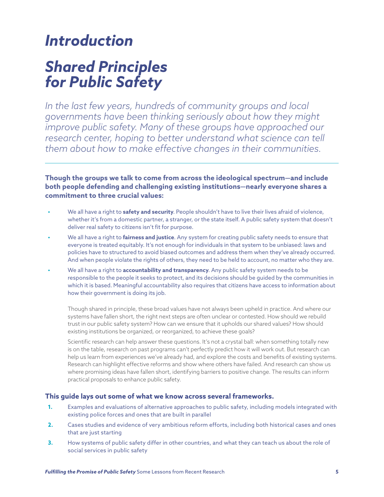# *Introduction*

# *Shared Principles for Public Safety*

*In the last few years, hundreds of community groups and local governments have been thinking seriously about how they might*  improve public safety. Many of these groups have approached our *research center, hoping to better understand what science can tell them about how to make effective changes in their communities.*

**Though the groups we talk to come from across the ideological spectrum—and include both people defending and challenging existing institutions—nearly everyone shares a commitment to three crucial values:**

- **•** We all have a right to **safety and security**. People shouldn't have to live their lives afraid of violence, whether it's from a domestic partner, a stranger, or the state itself. A public safety system that doesn't deliver real safety to citizens isn't fit for purpose.
- **•** We all have a right to **fairness and justice**. Any system for creating public safety needs to ensure that everyone is treated equitably. It's not enough for individuals in that system to be unbiased: laws and policies have to structured to avoid biased outcomes and address them when they've already occurred. And when people violate the rights of others, they need to be held to account, no matter who they are.
- **•** We all have a right to **accountability and transparency**. Any public safety system needs to be responsible to the people it seeks to protect, and its decisions should be guided by the communities in which it is based. Meaningful accountability also requires that citizens have access to information about how their government is doing its job.

Though shared in principle, these broad values have not always been upheld in practice. And where our systems have fallen short, the right next steps are often unclear or contested. How should we rebuild trust in our public safety system? How can we ensure that it upholds our shared values? How should existing institutions be organized, or reorganized, to achieve these goals?

Scientific research can help answer these questions. It's not a crystal ball: when something totally new is on the table, research on past programs can't perfectly predict how it will work out. But research can help us learn from experiences we've already had, and explore the costs and benefits of existing systems. Research can highlight effective reforms and show where others have failed. And research can show us where promising ideas have fallen short, identifying barriers to positive change. The results can inform practical proposals to enhance public safety.

#### **This guide lays out some of what we know across several frameworks.**

- **1.** Examples and evaluations of alternative approaches to public safety, including models integrated with existing police forces and ones that are built in parallel
- **2.** Cases studies and evidence of very ambitious reform efforts, including both historical cases and ones that are just starting
- **3.** How systems of public safety differ in other countries, and what they can teach us about the role of social services in public safety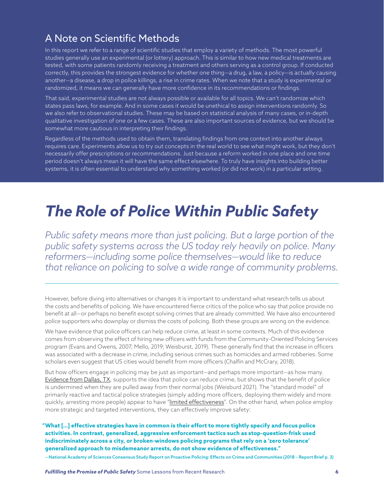### A Note on Scientific Methods

In this report we refer to a range of scientific studies that employ a variety of methods. The most powerful studies generally use an experimental (or lottery) approach. This is similar to how new medical treatments are tested, with some patients randomly receiving a treatment and others serving as a control group. If conducted correctly, this provides the strongest evidence for whether one thing—a drug, a law, a policy—is actually causing another—a disease, a drop in police killings, a rise in crime rates. When we note that a study is experimental or randomized, it means we can generally have more confidence in its recommendations or findings.

That said, experimental studies are not always possible or available for all topics. We can't randomize which states pass laws, for example. And in some cases it would be unethical to assign interventions randomly. So we also refer to observational studies. These may be based on statistical analysis of many cases, or in-depth qualitative investigation of one or a few cases. These are also important sources of evidence, but we should be somewhat more cautious in interpreting their findings.

Regardless of the methods used to obtain them, translating findings from one context into another always requires care. Experiments allow us to try out concepts in the real world to see what might work, but they don't necessarily offer prescriptions or recommendations. Just because a reform worked in one place and one time period doesn't always mean it will have the same effect elsewhere. To truly have insights into building better systems, it is often essential to understand why something worked (or did not work) in a particular setting.

# *The Role of Police Within Public Safety*

*Public safety means more than just policing. But a large portion of the public safety systems across the US today rely heavily on police. Many reformers—including some police themselves—would like to reduce that reliance on policing to solve a wide range of community problems.* 

However, before diving into alternatives or changes it is important to understand what research tells us about the costs and benefits of policing. We have encountered fierce critics of the police who say that police provide no benefit at all—or perhaps no benefit except solving crimes that are already committed. We have also encountered police supporters who downplay or dismiss the costs of policing. Both these groups are wrong on the evidence.

We have evidence that police officers can help reduce crime, at least in some contexts. Much of this evidence comes from observing the effect of hiring new officers with funds from the Community-Oriented Policing Services program (Evans and Owens, 2007; Mello, 2019; Weisburst, 2019). These generally find that the increase in officers was associated with a decrease in crime, including serious crimes such as homicides and armed robberies. Some scholars even suggest that US cities would benefit from more officers (Chalfin and McCrary, 2018).

But how officers engage in policing may be just as important—and perhaps more important—as how many. [Evidence from Dallas, TX,](https://www.city-journal.org/how-police-presence-maintains-public-order) supports the idea that police can reduce crime, but shows that the benefit of police is undermined when they are pulled away from their normal jobs (Weisburd 2021). The "standard model" of primarily reactive and tactical police strategies (simply adding more officers, deploying them widely and more quickly, arresting more people) appear to have ["limited effectiveness](https://www.sagepub.com/sites/default/files/upm-binaries/46974_CH_3.pdf)". On the other hand, when police employ more strategic and targeted interventions, they can effectively improve safety:

 **"What […] effective strategies have in common is their effort to more tightly specify and focus police activities. In contrast, generalized, aggressive enforcement tactics such as stop-question-frisk used indiscriminately across a city, or broken-windows policing programs that rely on a 'zero tolerance' generalized approach to misdemeanor arrests, do not show evidence of effectiveness."**

—National Academy of Sciences Consensus Study Report on Proactive Policing: Effects on Crime and Communities (2018 – Report Brief p. 3)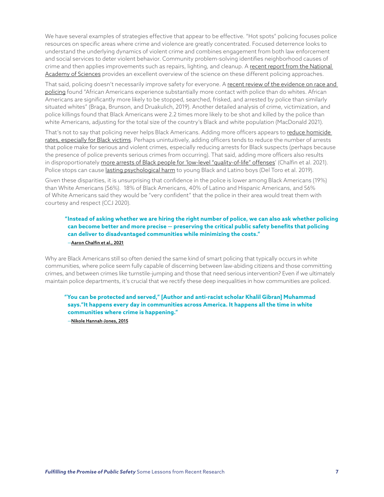We have several examples of strategies effective that appear to be effective. "Hot spots" policing focuses police resources on specific areas where crime and violence are greatly concentrated. Focused deterrence looks to understand the underlying dynamics of violent crime and combines engagement from both law enforcement and social services to deter violent behavior. Community problem-solving identifies neighborhood causes of crime and then applies improvements such as repairs, lighting, and cleanup. A [recent report from the National](https://nap.nationalacademies.org/catalog/24928/proactive-policing-effects-on-crime-and-communities)  [Academy of Sciences](https://nap.nationalacademies.org/catalog/24928/proactive-policing-effects-on-crime-and-communities) provides an excellent overview of the science on these different policing approaches.

That said, policing doesn't necessarily improve safety for everyone. A [recent review of the evidence on race and](https://www.annualreviews.org/doi/abs/10.1146/annurev-soc-073018-022541)  [policing](https://www.annualreviews.org/doi/abs/10.1146/annurev-soc-073018-022541) found "African Americans experience substantially more contact with police than do whites. African Americans are significantly more likely to be stopped, searched, frisked, and arrested by police than similarly situated whites" (Braga, Brunson, and Druakulich, 2019). Another detailed analysis of crime, victimization, and police killings found that Black Americans were 2.2 times more likely to be shot and killed by the police than white Americans, adjusting for the total size of the country's Black and white population (MacDonald 2021).

That's not to say that policing never helps Black Americans. Adding more officers appears to [reduce homicide](https://www.aeaweb.org/articles?id=10.1257/aeri.20200792&from=f)  [rates, especially for Black victims.](https://www.aeaweb.org/articles?id=10.1257/aeri.20200792&from=f) Perhaps unintuitively, adding officers tends to reduce the number of arrests that police make for serious and violent crimes, especially reducing arrests for Black suspects (perhaps because the presence of police prevents serious crimes from occurring). That said, adding more officers also results in disproportionately [more arrests of Black people for 'low-level "quality-of-life" offenses'](https://www.aeaweb.org/articles?id=10.1257/aeri.20200792&from=f) (Chalfin et al. 2021). Police stops can cause [lasting psychological harm](https://www.pnas.org/doi/10.1073/pnas.1808976116) to young Black and Latino boys (Del Toro et al. 2019).

Given these disparities, it is unsurprising that confidence in the police is lower among Black Americans (19%) than White Americans (56%). 18% of Black Americans, 40% of Latino and Hispanic Americans, and 56% of White Americans said they would be "very confident" that the police in their area would treat them with courtesy and respect (CCJ 2020).

#### **"Instead of asking whether we are hiring the right number of police, we can also ask whether policing can become better and more precise — preserving the critical public safety benefits that policing can deliver to disadvantaged communities while minimizing the costs."** —[Aaron Chalfin et al., 2021](https://www.niskanencenter.org/when-cities-add-cops-black-residents-could-have-the-most-to-gain-and-the-most-to-lose/)

Why are Black Americans still so often denied the same kind of smart policing that typically occurs in white communities, where police seem fully capable of discerning between law-abiding citizens and those committing crimes, and between crimes like turnstile-jumping and those that need serious intervention? Even if we ultimately maintain police departments, it's crucial that we rectify these deep inequalities in how communities are policed.

#### **"You can be protected and served," [Author and anti-racist scholar Khalil Gibran] Muhammad says."It happens every day in communities across America. It happens all the time in white communities where crime is happening."**

—[Nikole Hannah-Jones, 2015](https://prospect.org/justice/rise-of-the-private-police/)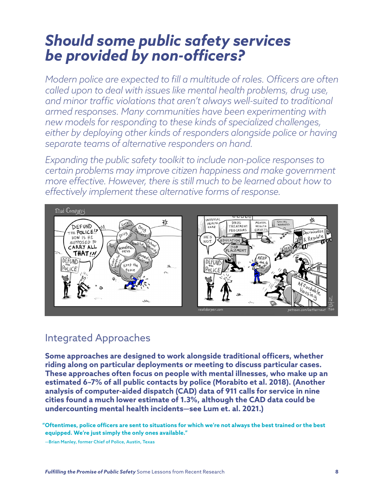# *Should some public safety services be provided by non-officers?*

*Modern police are expected to fill a multitude of roles. Officers are often called upon to deal with issues like mental health problems, drug use, and minor traffic violations that aren't always well-suited to traditional armed responses. Many communities have been experimenting with new models for responding to these kinds of specialized challenges, either by deploying other kinds of responders alongside police or having separate teams of alternative responders on hand.* 

*Expanding the public safety toolkit to include non-police responses to certain problems may improve citizen happiness and make government more effective. However, there is still much to be learned about how to effectively implement these alternative forms of response.* 



### Integrated Approaches

**Some approaches are designed to work alongside traditional officers, whether riding along on particular deployments or meeting to discuss particular cases. These approaches often focus on people with mental illnesses, who make up an estimated 6–7% of all public contacts by police (Morabito et al. 2018). (Another analysis of computer-aided dispatch (CAD) data of 911 calls for service in nine cities found a much lower estimate of 1.3%, although the CAD data could be undercounting mental health incidents—see Lum et. al. 2021.)**

 **"Oftentimes, police officers are sent to situations for which we're not always the best trained or the best equipped. We're just simply the only ones available."**

—Brian Manley, former Chief of Police, Austin, Texas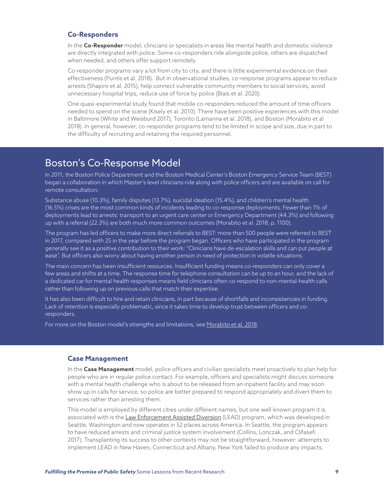#### **Co-Responders**

In the **Co-Responder** model, clinicians or specialists in areas like mental health and domestic violence are directly integrated with police. Some co-responders ride alongside police, others are dispatched when needed, and others offer support remotely.

Co-responder programs vary a lot from city to city, and there is little experimental evidence on their effectiveness (Puntis et al. 2018). But in observational studies, co-response programs appear to reduce arrests (Shapiro et al. 2015), help connect vulnerable community members to social services, avoid unnecessary hospital trips, reduce use of force by police (Blais et al. 2020).

One quasi-experimental study found that mobile co-responders reduced the amount of time officers needed to spend on the scene (Kisely et al. 2010). There have been positive experiences with this model in Baltimore (White and Weisburd 2017), Toronto (Lamanna et al. 2018), and Boston (Morabito et al 2018). In general, however, co-responder programs tend to be limited in scope and size, due in part to the difficulty of recruiting and retaining the required personnel.

### Boston's Co-Response Model

In 2011, the Boston Police Department and the Boston Medical Center's Boston Emergency Service Team (BEST) began a collaboration in which Master's level clinicians ride along with police officers and are available on call for remote consultation.

Substance abuse (10.3%), family disputes (13.7%), suicidal ideation (15.4%), and children's mental health (16.5%) crises are the most common kinds of incidents leading to co-response deployments. Fewer than 1% of deployments lead to arrests: transport to an urgent care center or Emergency Department (44.3%) and following up with a referral (22.3%) are both much more common outcomes (Morabito et al. 2018, p. 1100).

The program has led officers to make more direct referrals to BEST: more than 500 people were referred to BEST in 2017, compared with 25 in the year before the program began. Officers who have participated in the program generally see it as a positive contribution to their work: "Clinicians have de-escalation skills and can put people at ease". But officers also worry about having another person in need of protection in volatile situations.

The main concern has been insufficient resources. Insufficient funding means co-responders can only cover a few areas and shifts at a time. The response time for telephone consultation can be up to an hour, and the lack of a dedicated car for mental health responses means field clinicians often co-respond to non-mental-health calls rather than following up on previous calls that match their expertise.

It has also been difficult to hire and retain clinicians, in part because of shortfalls and inconsistencies in funding. Lack of retention is especially problematic, since it takes time to develop trust between officers and coresponders.

For more on the Boston model's strengths and limitations, see [Morabito et al. 2018.](https://www.researchgate.net/publication/329077286_Police_Response_to_People_with_Mental_Illnesses_in_a_Major_US_City_The_Boston_Experience_with_the_Co-Responder_Model)

#### **Case Management**

In the **Case Management** model, police officers and civilian specialists meet proactively to plan help for people who are in regular police contact. For example, officers and specialists might discuss someone with a mental health challenge who is about to be released from an inpatient facility and may soon show up in calls for service, so police are better prepared to respond appropriately and divert them to services rather than arresting them.

This model is employed by different cities under different names, but one well-known program it is associated with is the [Law Enforcement Assisted Diversion](https://www.leadbureau.org/) (LEAD) program, which was developed in Seattle, Washington and now operates in 52 places across America. In Seattle, the program appears to have reduced arrests and criminal justice system involvement (Collins, Lonczak, and Clifasefi 2017). Transplanting its success to other contexts may not be straightforward, however: attempts to implement LEAD in New Haven, Connecticut and Albany, New York failed to produce any impacts.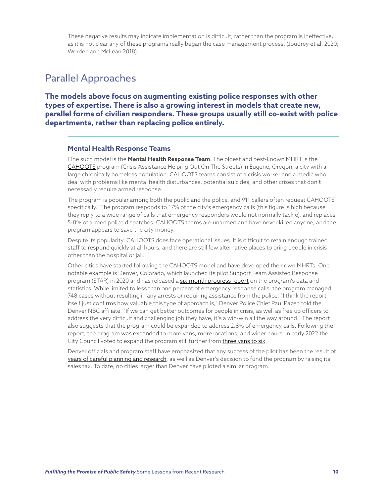These negative results may indicate implementation is difficult, rather than the program is ineffective, as it is not clear any of these programs really began the case management process. (Joudrey et al. 2020; Worden and McLean 2018).

### Parallel Approaches

**The models above focus on augmenting existing police responses with other types of expertise. There is also a growing interest in models that create new, parallel forms of civilian responders. These groups usually still co-exist with police departments, rather than replacing police entirely.**

#### **Mental Health Response Teams**

One such model is the **Mental Health Response Team**. The oldest and best-known MHRT is the [CAHOOTS](https://whitebirdclinic.org/category/programs/cahoots/) program (Crisis Assistance Helping Out On The Streets) in Eugene, Oregon, a city with a large chronically homeless population. CAHOOTS teams consist of a crisis worker and a medic who deal with problems like mental health disturbances, potential suicides, and other crises that don't necessarily require armed response.

The program is popular among both the public and the police, and 911 callers often request CAHOOTS specifically. The program responds to 17% of the city's emergency calls (this figure is high because they reply to a wide range of calls that emergency responders would not normally tackle), and replaces 5-8% of armed police dispatches. CAHOOTS teams are unarmed and have never killed anyone, and the program appears to save the city money.

Despite its popularity, CAHOOTS does face operational issues. It is difficult to retain enough trained staff to respond quickly at all hours, and there are still few alternative places to bring people in crisis other than the hospital or jail.

Other cities have started following the CAHOOTS model and have developed their own MHRTs. One notable example is Denver, Colorado, which launched its pilot Support Team Assisted Response program (STAR) in 2020 and has released a [six-month progress report](https://julalikari.org.au/project/night-patrol/) on the program's data and statistics. While limited to less than one percent of emergency response calls, the program managed 748 cases without resulting in any arrests or requiring assistance from the police. "I think the report itself just confirms how valuable this type of approach is," Denver Police Chief Paul Pazen told the Denver NBC affiliate. "If we can get better outcomes for people in crisis, as well as free up officers to address the very difficult and challenging job they have, it's a win-win all the way around." The report also suggests that the program could be expanded to address 2.8% of emergency calls. Following the report, the program [was expanded](https://denverite.com/2021/08/30/denver-star-mental-health-police-program/) to more vans, more locations, and wider hours. In early 2022 the City Council voted to expand the program still further from [three vans to six](https://www.denverpost.com/2022/02/20/denver-star-program-expansion/).

Denver officials and program staff have emphasized that any success of the pilot has been the result of [years of careful planning and research](https://www.jsonline.com/story/news/local/milwaukee/2021/05/27/what-know-denvers-911-alternative-police-star-mental-health/5210500001/), as well as Denver's decision to fund the program by raising its sales tax. To date, no cities larger than Denver have piloted a similar program.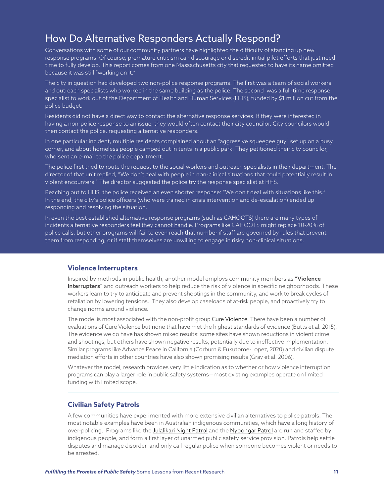# How Do Alternative Responders Actually Respond?

Conversations with some of our community partners have highlighted the difficulty of standing up new response programs. Of course, premature criticism can discourage or discredit initial pilot efforts that just need time to fully develop. This report comes from one Massachusetts city that requested to have its name omitted because it was still "working on it."

The city in question had developed two non-police response programs. The first was a team of social workers and outreach specialists who worked in the same building as the police. The second was a full-time response specialist to work out of the Department of Health and Human Services (HHS), funded by \$1 million cut from the police budget.

Residents did not have a direct way to contact the alternative response services. If they were interested in having a non-police response to an issue, they would often contact their city councilor. City councilors would then contact the police, requesting alternative responders.

In one particular incident, multiple residents complained about an "aggressive squeegee guy" set up on a busy corner, and about homeless people camped out in tents in a public park. They petitioned their city councilor, who sent an e-mail to the police department.

The police first tried to route the request to the social workers and outreach specialists in their department. The director of that unit replied, "We don't deal with people in non-clinical situations that could potentially result in violent encounters." The director suggested the police try the response specialist at HHS.

Reaching out to HHS, the police received an even shorter response: "We don't deal with situations like this." In the end, the city's police officers (who were trained in crisis intervention and de-escalation) ended up responding and resolving the situation.

In even the best established alternative response programs (such as CAHOOTS) there are many types of incidents alternative responders [feel they cannot handle.](https://www.npr.org/2020/06/10/874339977/cahoots-how-social-workers-and-police-share-responsibilities-in-eugene-oregon) Programs like CAHOOTS might replace 10-20% of police calls, but other programs will fail to even reach that number if staff are governed by rules that prevent them from responding, or if staff themselves are unwilling to engage in risky non-clinical situations.

#### **Violence Interrupters**

Inspired by methods in public health, another model employs community members as "Violence Interrupters" and outreach workers to help reduce the risk of violence in specific neighborhoods. These workers learn to try to anticipate and prevent shootings in the community, and work to break cycles of retaliation by lowering tensions. They also develop caseloads of at-risk people, and proactively try to change norms around violence.

The model is most associated with the non-profit group [Cure Violence](https://cvg.org/). There have been a number of evaluations of Cure Violence but none that have met the highest standards of evidence (Butts et al. 2015). The evidence we do have has shown mixed results: some sites have shown reductions in violent crime and shootings, but others have shown negative results, potentially due to ineffective implementation. Similar programs like Advance Peace in California (Corburn & Fukutome-Lopez, 2020) and civilian dispute mediation efforts in other countries have also shown promising results (Gray et al. 2006).

Whatever the model, research provides very little indication as to whether or how violence interruption programs can play a larger role in public safety systems—most existing examples operate on limited funding with limited scope.

#### **Civilian Safety Patrols**

A few communities have experimented with more extensive civilian alternatives to police patrols. The most notable examples have been in Australian indigenous communities, which have a long history of over-policing. Programs like the [Julalikari Night Patrol](https://julalikari.org.au/project/night-patrol/) and the [Nyoongar Patrol](http://www.nyoongaroutreach.com.au/) are run and staffed by indigenous people, and form a first layer of unarmed public safety service provision. Patrols help settle disputes and manage disorder, and only call regular police when someone becomes violent or needs to be arrested.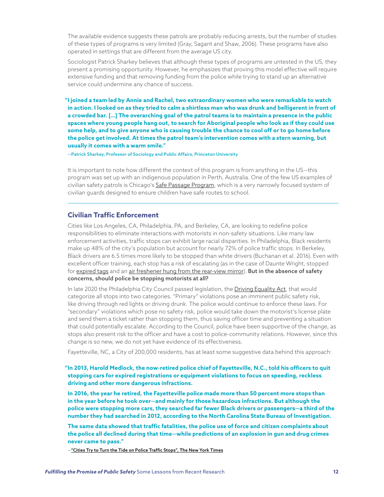The available evidence suggests these patrols are probably reducing arrests, but the number of studies of these types of programs is very limited (Gray, Sagant and Shaw, 2006). These programs have also operated in settings that are different from the average US city.

Sociologist Patrick Sharkey believes that although these types of programs are untested in the US, they present a promising opportunity. However, he emphasizes that proving this model effective will require extensive funding and that removing funding from the police while trying to stand up an alternative service could undermine any chance of success.

 **"I joined a team led by Annie and Rachel, two extraordinary women who were remarkable to watch in action. I looked on as they tried to calm a shirtless man who was drunk and belligerent in front of a crowded bar. […] The overarching goal of the patrol teams is to maintain a presence in the public spaces where young people hang out, to search for Aboriginal people who look as if they could use some help, and to give anyone who is causing trouble the chance to cool off or to go home before the police get involved. At times the patrol team's intervention comes with a stern warning, but usually it comes with a warm smile."**

—Patrick Sharkey, Professor of Sociology and Public Affairs, Princeton University

It is important to note how different the context of this program is from anything in the US—this program was set up with an indigenous population in Perth, Australia. One of the few US examples of civilian safety patrols is Chicago's [Safe Passage Program,](https://chicagopolicyreview.org/2019/12/23/keeping-students-safe-positive-results-from-chicagos-safe-passage-program/) which is a very narrowly focused system of civilian guards designed to ensure children have safe routes to school.

#### **Civilian Traffic Enforcement**

Cities like Los Angeles, CA, Philadelphia, PA, and Berkeley, CA, are looking to redefine police responsibilities to eliminate interactions with motorists in non-safety situations. Like many law enforcement activities, traffic stops can exhibit large racial disparities. In Philadelphia, Black residents make up 48% of the city's population but account for nearly 72% of police traffic stops. In Berkeley, Black drivers are 6.5 times more likely to be stopped than white drivers (Buchanan et al. 2016). Even with excellent officer training, each stop has a risk of escalating (as in the case of Daunte Wright, stopped for [expired tags](https://www.nytimes.com/article/daunte-wright-death-minnesota.html) and an [air freshener hung from the rear-view mirror](https://www.nytimes.com/2021/04/17/us/police-air-fresheners.html)). But in the absence of safety concerns, should police be stopping motorists at all?

In late 2020 the Philadelphia City Council passed legislation, the [Driving Equality Act,](https://phlcouncil.com/city-council-approves-councilmember-thomas-driving-equality-bills/) that would categorize all stops into two categories. "Primary" violations pose an imminent public safety risk, like driving through red lights or driving drunk. The police would continue to enforce these laws. For "secondary" violations which pose no safety risk, police would take down the motorist's license plate and send them a ticket rather than stopping them, thus saving officer time and preventing a situation that could potentially escalate. According to the Council, police have been supportive of the change, as stops also present risk to the officer and have a cost to police-community relations. However, since this change is so new, we do not yet have evidence of its effectiveness.

Fayetteville, NC, a City of 200,000 residents, has at least some suggestive data behind this approach:

 **"In 2013, Harold Medlock, the now-retired police chief of Fayetteville, N.C., told his officers to quit stopping cars for expired registrations or equipment violations to focus on speeding, reckless driving and other more dangerous infractions.**

**In 2016, the year he retired, the Fayetteville police made more than 50 percent more stops than in the year before he took over—and mainly for those hazardous infractions. But although the police were stopping more cars, they searched far fewer Black drivers or passengers—a third of the number they had searched in 2012, according to the North Carolina State Bureau of Investigation.**

**The same data showed that traffic fatalities, the police use of force and citizen complaints about the police all declined during that time—while predictions of an explosion in gun and drug crimes never came to pass."**

[—"Cities Try to Turn the Tide on Police Traffic Stops", The New York Times](https://www.nytimes.com/2022/04/15/us/police-traffic-stops.html)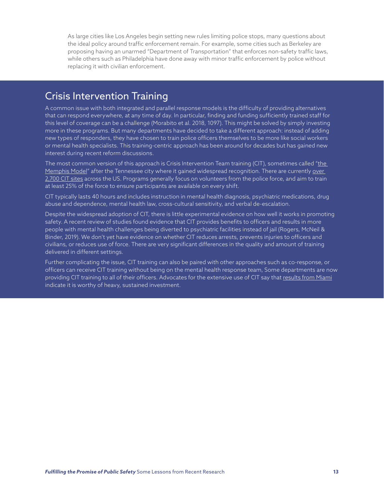As large cities like Los Angeles begin setting new rules limiting police stops, many questions about the ideal policy around traffic enforcement remain. For example, some cities such as Berkeley are proposing having an unarmed "Department of Transportation" that enforces non-safety traffic laws, while others such as Philadelphia have done away with minor traffic enforcement by police without replacing it with civilian enforcement.

### Crisis Intervention Training

A common issue with both integrated and parallel response models is the difficulty of providing alternatives that can respond everywhere, at any time of day. In particular, finding and funding sufficiently trained staff for this level of coverage can be a challenge (Morabito et al. 2018, 1097). This might be solved by simply investing more in these programs. But many departments have decided to take a different approach: instead of adding new types of responders, they have chosen to train police officers themselves to be more like social workers or mental health specialists. This training-centric approach has been around for decades but has gained new interest during recent reform discussions.

The most common version of this approach is Crisis Intervention Team training (CIT), sometimes called "the [Memphis Model](http://www.cit.memphis.edu/overview.php?page=7)" after the Tennessee city where it gained widespread recognition. There are currently over [2,700 CIT sites](http://www.cit.memphis.edu/overview.php?page=7) across the US. Programs generally focus on volunteers from the police force, and aim to train at least 25% of the force to ensure participants are available on every shift.

CIT typically lasts 40 hours and includes instruction in mental health diagnosis, psychiatric medications, drug abuse and dependence, mental health law, cross-cultural sensitivity, and verbal de-escalation.

Despite the widespread adoption of CIT, there is little experimental evidence on how well it works in promoting safety. A recent review of studies found evidence that CIT provides benefits to officers and results in more people with mental health challenges being diverted to psychiatric facilities instead of jail (Rogers, McNeil & Binder, 2019). We don't yet have evidence on whether CIT reduces arrests, prevents injuries to officers and civilians, or reduces use of force. There are very significant differences in the quality and amount of training delivered in different settings.

Further complicating the issue, CIT training can also be paired with other approaches such as co-response, or officers can receive CIT training without being on the mental health response team, Some departments are now providing CIT training to all of their officers. Advocates for the extensive use of CIT say that [results from Miami](https://www.theatlantic.com/politics/archive/2017/08/how-mental-health-training-for-police-can-save-livesand-taxpayer-dollars/536520/) indicate it is worthy of heavy, sustained investment.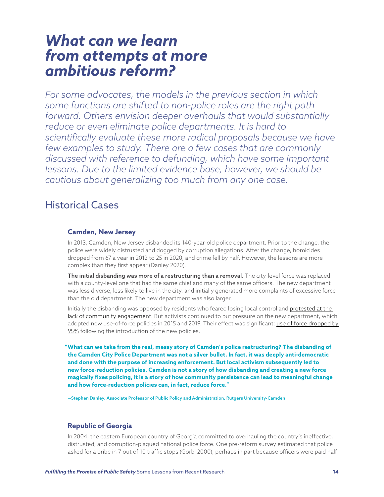### *What can we learn from attempts at more ambitious reform?*

*For some advocates, the models in the previous section in which some functions are shifted to non-police roles are the right path forward. Others envision deeper overhauls that would substantially reduce or even eliminate police departments. It is hard to scientifically evaluate these more radical proposals because we have few examples to study. There are a few cases that are commonly discussed with reference to defunding, which have some important lessons. Due to the limited evidence base, however, we should be cautious about generalizing too much from any one case.*

### Historical Cases

#### **Camden, New Jersey**

In 2013, Camden, New Jersey disbanded its 140-year-old police department. Prior to the change, the police were widely distrusted and dogged by corruption allegations. After the change, homicides dropped from 67 a year in 2012 to 25 in 2020, and crime fell by half. However, the lessons are more complex than they first appear (Danley 2020).

The initial disbanding was more of a restructuring than a removal. The city-level force was replaced with a county-level one that had the same chief and many of the same officers. The new department was less diverse, less likely to live in the city, and initially generated more complaints of excessive force than the old department. The new department was also larger.

Initially the disbanding was opposed by residents who feared losing local control and [protested at the](https://citymonitor.ai/government/camden-new-jersey-isnt-really-a-model-for-police-reform)  [lack of community engagement.](https://citymonitor.ai/government/camden-new-jersey-isnt-really-a-model-for-police-reform) But activists continued to put pressure on the new department, which adopted new use-of-force policies in 2015 and 2019. Their effect was significant: use of force dropped by [95%](https://www.washingtonpost.com/outlook/2020/06/16/camden-nj-police-reboot-is-being-misused-debate-over-police-reform/) following the introduction of the new policies.

 **"What can we take from the real, messy story of Camden's police restructuring? The disbanding of the Camden City Police Department was not a silver bullet. In fact, it was deeply anti-democratic and done with the purpose of increasing enforcement. But local activism subsequently led to new force-reduction policies. Camden is not a story of how disbanding and creating a new force magically fixes policing, it is a story of how community persistence can lead to meaningful change and how force-reduction policies can, in fact, reduce force."**

—Stephen Danley, Associate Professor of Public Policy and Administration, Rutgers University-Camden

#### **Republic of Georgia**

In 2004, the eastern European country of Georgia committed to overhauling the country's ineffective, distrusted, and corruption-plagued national police force. One pre-reform survey estimated that police asked for a bribe in 7 out of 10 traffic stops (Gorbi 2000), perhaps in part because officers were paid half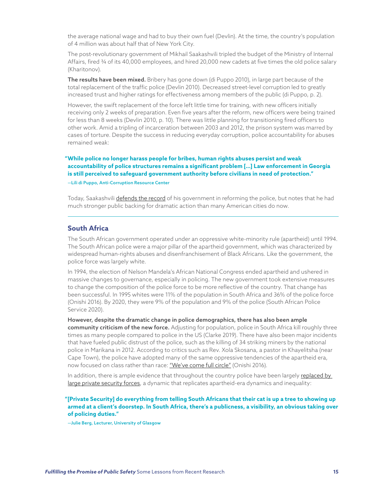the average national wage and had to buy their own fuel (Devlin). At the time, the country's population of 4 million was about half that of New York City.

The post-revolutionary government of Mikhail Saakashvili tripled the budget of the Ministry of Internal Affairs, fired ¾ of its 40,000 employees, and hired 20,000 new cadets at five times the old police salary (Kharitonov).

The results have been mixed. Bribery has gone down (di Puppo 2010), in large part because of the total replacement of the traffic police (Devlin 2010). Decreased street-level corruption led to greatly increased trust and higher ratings for effectiveness among members of the public (di Puppo, p. 2).

However, the swift replacement of the force left little time for training, with new officers initially receiving only 2 weeks of preparation. Even five years after the reform, new officers were being trained for less than 8 weeks (Devlin 2010, p. 10). There was little planning for transitioning fired officers to other work. Amid a tripling of incarceration between 2003 and 2012, the prison system was marred by cases of torture. Despite the success in reducing everyday corruption, police accountability for abuses remained weak:

 **"While police no longer harass people for bribes, human rights abuses persist and weak accountability of police structures remains a significant problem […] Law enforcement in Georgia is still perceived to safeguard government authority before civilians in need of protection."**

—Lili di Puppo, Anti-Corruption Resource Center

Today, Saakashvili [defends the record](https://foreignpolicy.com/2020/06/11/abolish-police-georgia-brutality-crime/) of his government in reforming the police, but notes that he had much stronger public backing for dramatic action than many American cities do now.

#### **South Africa**

The South African government operated under an oppressive white-minority rule (apartheid) until 1994. The South African police were a major pillar of the apartheid government, which was characterized by widespread human-rights abuses and disenfranchisement of Black Africans. Like the government, the police force was largely white.

In 1994, the election of Nelson Mandela's African National Congress ended apartheid and ushered in massive changes to governance, especially in policing. The new government took extensive measures to change the composition of the police force to be more reflective of the country. That change has been successful. In 1995 whites were 11% of the population in South Africa and 36% of the police force (Onishi 2016). By 2020, they were 9% of the population and 9% of the police (South African Police Service 2020).

However, despite the dramatic change in police demographics, there has also been ample community criticism of the new force. Adjusting for population, police in South Africa kill roughly three times as many people compared to police in the US (Clarke 2019). There have also been major incidents that have fueled public distrust of the police, such as the killing of 34 striking miners by the national police in Marikana in 2012. According to critics such as Rev. Xola Skosana, a pastor in Khayelitsha (near Cape Town), the police have adopted many of the same oppressive tendencies of the apartheid era, now focused on class rather than race: ["We've come full circle"](https://www.nytimes.com/2016/08/14/world/africa/south-africa-apartheid-police-killings.html) (Onishi 2016).

In addition, there is ample evidence that throughout the country police have been largely replaced by [large private security forces](https://prospect.org/justice/rise-of-the-private-police/), a dynamic that replicates apartheid-era dynamics and inequality:

#### **"[Private Security] do everything from telling South Africans that their cat is up a tree to showing up armed at a client's doorstep. In South Africa, there's a publicness, a visibility, an obvious taking over of policing duties."**

—Julie Berg, Lecturer, University of Glasgow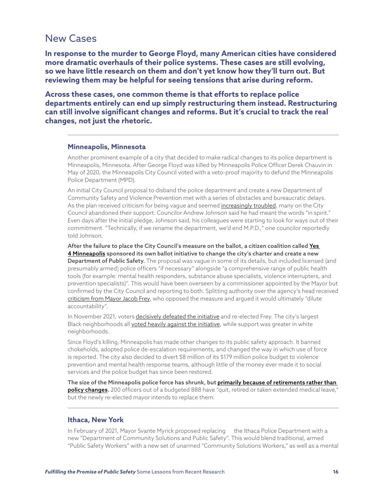### New Cases

**In response to the murder to George Floyd, many American cities have considered more dramatic overhauls of their police systems. These cases are still evolving, so we have little research on them and don't yet know how they'll turn out. But reviewing them may be helpful for seeing tensions that arise during reform.** 

**Across these cases, one common theme is that efforts to replace police departments entirely can end up simply restructuring them instead. Restructuring can still involve significant changes and reforms. But it's crucial to track the real changes, not just the rhetoric.**

#### **Minneapolis, Minnesota**

Another prominent example of a city that decided to make radical changes to its police department is Minneapolis, Minnesota. After George Floyd was killed by Minneapolis Police Officer Derek Chauvin in May of 2020, the Minneapolis City Council voted with a veto-proof majority to defund the Minneapolis Police Department (MPD).

An initial City Council proposal to disband the police department and create a new Department of Community Safety and Violence Prevention met with a series of obstacles and bureaucratic delays. As the plan received criticism for being vague and seemed [increasingly troubled,](https://www.nytimes.com/2020/09/26/us/politics/minneapolis-defund-police.html) many on the City Council abandoned their support. Councilor Andrew Johnson said he had meant the words "in spirit." Even days after the initial pledge, Johnson said, his colleagues were starting to look for ways out of their commitment. "Technically, if we rename the department, we'd end M.P.D.," one councilor reportedly told Johnson.

After the failure to place the City Council's measure on the ballot, a citizen coalition called Yes [4 Minneapolis](https://yes4minneapolis.org/the-plan/) sponsored its own ballot initiative to change the city's charter and create a new Department of Public Safety. The proposal was vague in some of its details, but included licensed (and presumably armed) police officers "if necessary" alongside "a comprehensive range of public health tools (for example: mental health responders, substance abuse specialists, violence interrupters, and prevention specialists)". This would have been overseen by a commissioner appointed by the Mayor but confirmed by the City Council and reporting to both. Splitting authority over the agency's head received [criticism from Mayor Jacob Frey,](https://www.startribune.com/new-proposal-would-scrap-minneapolis-police-department-but-keep-the-officers/600016195/) who opposed the measure and argued it would ultimately "dilute accountability".

In November 2021, voters [decisively defeated the initiative](https://www.mprnews.org/story/2021/11/02/minneapolis-police-ballot-vote) and re-elected Frey. The city's largest Black neighborhoods all [voted heavily against the initiative,](https://www.kare11.com/article/news/local/breaking-the-news/breaking-down-voting-data-on-minneapolis-ballot-question-2/89-8eb28e0a-c275-4bea-b350-e9b722dedd0f) while support was greater in white neighborhoods.

Since Floyd's killing, Minneapolis has made other changes to its public safety approach. It banned chokeholds, adopted police de-escalation requirements, and changed the way in which use of force is reported. The city also decided to divert \$8 million of its \$179 million police budget to violence prevention and mental health response teams, although little of the money ever made it to social services and the police budget has since been restored.

The size of the Minneapolis police force has shrunk, but [primarily because of retirements rather than](https://www.npr.org/2021/05/25/1000298293/a-year-after-george-floyds-death-plans-for-minneapolis-police-reform-have-soften)  [policy changes.](https://www.npr.org/2021/05/25/1000298293/a-year-after-george-floyds-death-plans-for-minneapolis-police-reform-have-soften) 200 officers out of a budgeted 888 have "quit, retired or taken extended medical leave," but the newly re-elected mayor intends to replace them.

#### **Ithaca, New York**

In February of 2021, Mayor Svante Myrick proposed replacing the Ithaca Police Department with a new "Department of Community Solutions and Public Safety". This would blend traditional, armed "Public Safety Workers" with a new set of unarmed "Community Solutions Workers," as well as a mental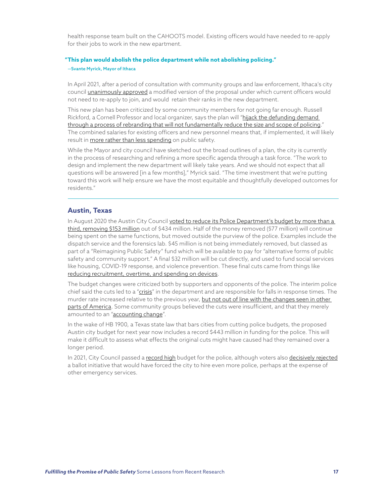health response team built on the CAHOOTS model. Existing officers would have needed to re-apply for their jobs to work in the new epartment.

#### **"This plan would abolish the police department while not abolishing policing."** —Svante Myrick, Mayor of Ithaca

In April 2021, after a period of consultation with community groups and law enforcement, Ithaca's city council [unanimously approved](https://ithacavoice.com/2021/04/city-of-ithaca-unanimously-passes-reimagining-public-safety-resolution/) a modified version of the proposal under which current officers would not need to re-apply to join, and would retain their ranks in the new department.

This new plan has been criticized by some community members for not going far enough. Russell Rickford, a Cornell Professor and local organizer, says the plan will "[hijack the defunding demand](https://theappeal.org/how-cities-are-defunding-replacing-the-work-of-police-departments/)  [through a process of rebranding that will not fundamentally reduce the size and scope of policing](https://theappeal.org/how-cities-are-defunding-replacing-the-work-of-police-departments/)." The combined salaries for existing officers and new personnel means that, if implemented, it will likely result in [more rather than less spending](https://www.gq.com/story/ithaca-mayor-svante-myrick-police-reform) on public safety.

While the Mayor and city council have sketched out the broad outlines of a plan, the city is currently in the process of researching and refining a more specific agenda through a task force. "The work to design and implement the new department will likely take years. And we should not expect that all questions will be answered [in a few months]," Myrick said. "The time investment that we're putting toward this work will help ensure we have the most equitable and thoughtfully developed outcomes for residents."

#### **Austin, Texas**

In August 2020 the Austin City Council voted to reduce its Police Department's budget by more than a [third, removing \\$153 million](https://www.austintexas.gov/page/apd-budget) out of \$434 million. Half of the money removed (\$77 million) will continue being spent on the same functions, but moved outside the purview of the police. Examples include the dispatch service and the forensics lab. \$45 million is not being immediately removed, but classed as part of a "Reimagining Public Safety" fund which will be available to pay for "alternative forms of public safety and community support." A final \$32 million will be cut directly, and used to fund social services like housing, COVID-19 response, and violence prevention. These final cuts came from things like [reducing recruitment, overtime, and spending on devices.](https://theappeal.org/austin-police-budget-homeless-housing/)

The budget changes were criticized both by supporters and opponents of the police. The interim police chief said the cuts led to a ["crisis](https://www.thecentersquare.com/texas/interim-chief-austin-police-department-in-dire-crisis-after-defunding/article_f1cf3332-e8b2-11eb-a76c-afc3b5f2ca55.html)" in the department and are responsible for falls in response times. The murder rate increased relative to the previous year, but not out of line with the changes seen in other [parts of America](https://www.statesman.com/story/news/politics/politifact/2021/06/14/austin-homicides-rise-little-proof-its-tied-police-defunding/7654403002/). Some community groups believed the cuts were insufficient, and that they merely amounted to an ["accounting change](https://theappeal.org/austin-texas-city-council-cuts-police-budget-by-150-million/)".

In the wake of HB 1900, a Texas state law that bars cities from cutting police budgets, the proposed Austin city budget for next year now includes a record \$443 million in funding for the police. This will make it difficult to assess what effects the original cuts might have caused had they remained over a longer period.

In 2021, City Council passed a [record high](https://www.kxan.com/news/local/austin/austin-city-council-approves-4-5-billion-budget-record-police-funding/) budget for the police, although voters also [decisively rejected](https://www.texastribune.org/2021/11/02/austin-prop-a-election-results-police/) a ballot initiative that would have forced the city to hire even more police, perhaps at the expense of other emergency services.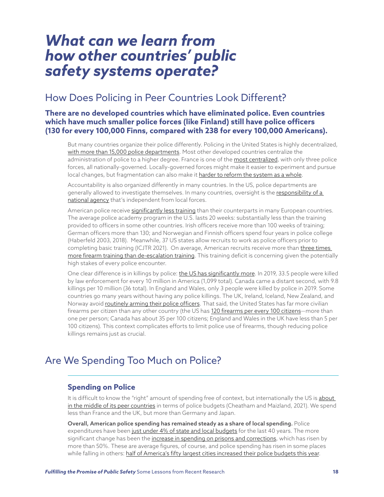### *What can we learn from how other countries' public safety systems operate?*

### How Does Policing in Peer Countries Look Different?

#### **There are no developed countries which have eliminated police. Even countries which have much smaller police forces (like Finland) still have police officers (130 for every 100,000 Finns, compared with 238 for every 100,000 Americans).**

But many countries organize their police differently. Policing in the United States is highly decentralized, [with more than 15,000 police departments.](https://polis.osce.org/country-profiles/united-states-america) Most other developed countries centralize the administration of police to a higher degree. France is one of the [most centralized,](https://polis.osce.org/country-profiles/france) with only three police forces, all nationally-governed. Locally-governed forces might make it easier to experiment and pursue local changes, but fragmentation can also make it [harder to reform the system as a whole](https://link.springer.com/article/10.1007/s41887-020-00046-z).

Accountability is also organized differently in many countries. In the US, police departments are generally allowed to investigate themselves. In many countries, oversight is the responsibility of a [national agency](https://www.cfr.org/backgrounder/how-police-compare-different-democracies) that's independent from local forces.

American police receive [significantly less training](https://www.cfr.org/backgrounder/how-police-compare-different-democracies#chapter-title-0-5) than their counterparts in many European countries. The average police academy program in the U.S. lasts 20 weeks: substantially less than the training provided to officers in some other countries. Irish officers receive more than 100 weeks of training; German officers more than 130; and Norwegian and Finnish officers spend four years in police college (Haberfeld 2003, 2018). Meanwhile, 37 US states allow recruits to work as police officers prior to completing basic training (ICJTR 2021). On average, American recruits receive more than [three times](https://bjs.ojp.gov/content/pub/pdf/slleta13.pdf)  [more firearm training than de-escalation training](https://bjs.ojp.gov/content/pub/pdf/slleta13.pdf). This training deficit is concerning given the potentially high stakes of every police encounter.

One clear difference is in killings by police: [the US has significantly more](https://www.cfr.org/backgrounder/how-police-compare-different-democracies#chapter-title-0-6). In 2019, 33.5 people were killed by law enforcement for every 10 million in America (1,099 total). Canada came a distant second, with 9.8 killings per 10 million (36 total). In England and Wales, only 3 people were killed by police in 2019. Some countries go many years without having any police killings. The UK, Ireland, Iceland, New Zealand, and Norway avoid [routinely arming their police officers](https://edition.cnn.com/2017/07/19/world/us-gun-crime-police-shooting-statistics/index.html). That said, the United States has far more civilian firearms per citizen than any other country (the US has [120 firearms per every 100 citizens](https://en.wikipedia.org/wiki/Estimated_number_of_civilian_guns_per_capita_by_country)-more than one per person; Canada has about 35 per 100 citizens; England and Wales in the UK have less than 5 per 100 citizens). This context complicates efforts to limit police use of firearms, though reducing police killings remains just as crucial.

### Are We Spending Too Much on Police?

#### **Spending on Police**

It is difficult to know the "right" amount of spending free of context, but internationally the US is about [in the middle of its peer countries](https://www.cfr.org/backgrounder/how-police-compare-different-democracies) in terms of police budgets (Cheatham and Maizland, 2021). We spend less than France and the UK, but more than Germany and Japan.

Overall, American police spending has remained steady as a share of local spending. Police expenditures have been [just under 4% of state and local budgets](https://www.urban.org/policy-centers/cross-center-initiatives/state-and-local-finance-initiative/state-and-local-backgrounders/criminal-justice-police-corrections-courts-expenditures) for the last 40 years. The more significant change has been the [increase in spending on prisons and corrections,](https://www.hamiltonproject.org/charts/corrections_spending_per_capita) which has risen by more than 50%. These are average figures, of course, and police spending has risen in some places while falling in others: [half of America's fifty largest cities increased their police budgets this year.](https://www.bloomberg.com/graphics/2021-city-budget-police-funding/?sref=vxSzVDP0)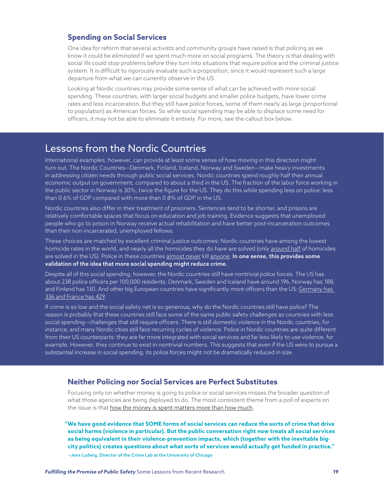#### **Spending on Social Services**

One idea for reform that several activists and community groups have raised is that policing as we know it could be *eliminated* if we spent much more on social programs. The theory is that dealing with social ills could stop problems before they turn into situations that require police and the criminal justice system. It is difficult to rigorously evaluate such a proposition, since it would represent such a large departure from what we can currently observe in the US.

Looking at Nordic countries may provide some sense of what can be achieved with more social spending. These countries, with larger social budgets and smaller police budgets, have lower crime rates and less incarceration. But they still have police forces, some of them nearly as large (proportional to population) as American forces. So while social spending may be able to displace some need for officers, it may not be able to eliminate it entirely. For more, see the callout box below.

### Lessons from the Nordic Countries

International examples, however, can provide at least some sense of how moving in this direction might turn out. The Nordic Countries—Denmark, Finland, Iceland, Norway and Sweden—make heavy investments in addressing citizen needs through public social services. Nordic countries spend roughly half their annual economic output on government, compared to about a third in the US. The fraction of the labor force working in the public sector in Norway is 30%, twice the figure for the US. They do this while spending less on police: less than 0.6% of GDP compared with more than 0.8% of GDP in the US.

Nordic countries also differ in their treatment of prisoners. Sentences tend to be shorter, and prisons are relatively comfortable spaces that focus on education and job training. Evidence suggests that unemployed people who go to prison in Norway receive actual rehabilitation and have better post-incarceration outcomes than their non-incarcerated, unemployed fellows.

These choices are matched by excellent criminal justice outcomes: Nordic countries have among the lowest homicide rates in the world, and nearly all the homicides they do have are solved (only [around half](https://www.themarshallproject.org/2022/01/12/as-murders-spiked-police-solved-about-half-in-2020) of homicides are solved in the US). Police in these countries [almost never](https://www.thelocal.no/20161128/norwegian-police-involved-in-just-fourth-fatal-shooting-in-14-years/) kill [anyone](https://www.theguardian.com/world/2013/dec/02/iceland-armed-police-shoot-man-dead-first-time). In one sense, this provides some validation of the idea that more social spending might reduce crime.

Despite all of this social spending, however, the Nordic countries still have nontrivial police forces. The US has about 238 police officers per 100,000 residents. Denmark, Sweden and Iceland have around 196, Norway has 188, and Finland has 130. And other big European countries have significantly *more* officers than the US: [Germany has](https://en.wikipedia.org/wiki/List_of_countries_and_dependencies_by_number_of_police_officers)  [336 and France has 429.](https://en.wikipedia.org/wiki/List_of_countries_and_dependencies_by_number_of_police_officers)

If crime is so low and the social safety net is so generous, why do the Nordic countries still have police? The reason is probably that these countries still face some of the same public safety challenges as countries with less social spending—challenges that still require officers. There is still domestic violence in the Nordic countries, for instance, and many Nordic cities still face recurring cycles of violence. Police in Nordic countries are quite different from their US counterparts: they are far more integrated with social services and far less likely to use violence, for example. However, they continue to exist in nontrivial numbers. This suggests that even if the US were to pursue a substantial increase in social spending, its police forces might not be dramatically reduced in size.

#### **Neither Policing nor Social Services are Perfect Substitutes**

Focusing only on whether money is going to police or social services misses the broader question of what those agencies are being deployed to do. The most consistent theme from a poll of experts on the issue is that [how the money is spent matters more than how much.](https://cjexpertpanel.org/surveys/policing-and-public-safety/)

 **"We have good evidence that SOME forms of social services can reduce the sorts of crime that drive social harms (violence in particular). But the public conversation right now treats all social services as being equivalent in their violence-prevention impacts, which (together with the inevitable bigcity politics) creates questions about what sorts of services would actually get funded in practice."**

—Jens Ludwig, Director of the Crime Lab at the University of Chicago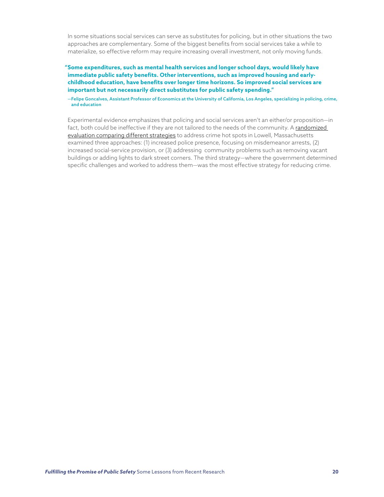In some situations social services can serve as substitutes for policing, but in other situations the two approaches are complementary. Some of the biggest benefits from social services take a while to materialize, so effective reform may require increasing overall investment, not only moving funds.

 **"Some expenditures, such as mental health services and longer school days, would likely have immediate public safety benefits. Other interventions, such as improved housing and earlychildhood education, have benefits over longer time horizons. So improved social services are important but not necessarily direct substitutes for public safety spending."**

—Felipe Goncalves, Assistant Professor of Economics at the University of California, Los Angeles, specializing in policing, crime, and education

Experimental evidence emphasizes that policing and social services aren't an either/or proposition—in fact, both could be ineffective if they are not tailored to the needs of the community. A [randomized](https://citeseerx.ist.psu.edu/viewdoc/download?doi=10.1.1.575.7298&rep=rep1&type=pdf)  [evaluation comparing different strategies](https://citeseerx.ist.psu.edu/viewdoc/download?doi=10.1.1.575.7298&rep=rep1&type=pdf) to address crime hot spots in Lowell, Massachusetts examined three approaches: (1) increased police presence, focusing on misdemeanor arrests, (2) increased social-service provision, or (3) addressing community problems such as removing vacant buildings or adding lights to dark street corners. The third strategy—where the government determined specific challenges and worked to address them—was the most effective strategy for reducing crime.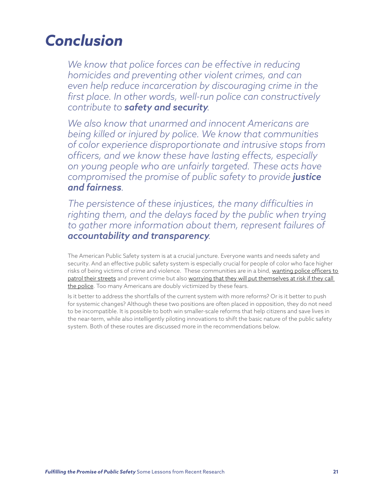# *Conclusion*

*We know that police forces can be effective in reducing homicides and preventing other violent crimes, and can even help reduce incarceration by discouraging crime in the first place. In other words, well-run police can constructively contribute to safety and security.*

*We also know that unarmed and innocent Americans are being killed or injured by police. We know that communities of color experience disproportionate and intrusive stops from officers, and we know these have lasting effects, especially on young people who are unfairly targeted. These acts have compromised the promise of public safety to provide justice and fairness.*

*The persistence of these injustices, the many difficulties in*  righting them, and the delays faced by the public when trying *to gather more information about them, represent failures of accountability and transparency.*

The American Public Safety system is at a crucial juncture. Everyone wants and needs safety and security. And an effective public safety system is especially crucial for people of color who face higher risks of being victims of crime and violence. These communities are in a bind, [wanting police officers to](https://news.gallup.com/poll/316571/black-americans-police-retain-local-presence.aspx)  [patrol their streets](https://news.gallup.com/poll/316571/black-americans-police-retain-local-presence.aspx) and prevent crime but also [worrying that they will put themselves at risk if they call](https://www.ipsos.com/sites/default/files/ct/news/documents/2021-05/Topline%20Axios%20Hard%20Truth%20Civil%20Rights%20052321.pdf)  [the police.](https://www.ipsos.com/sites/default/files/ct/news/documents/2021-05/Topline%20Axios%20Hard%20Truth%20Civil%20Rights%20052321.pdf) Too many Americans are doubly victimized by these fears.

Is it better to address the shortfalls of the current system with more reforms? Or is it better to push for systemic changes? Although these two positions are often placed in opposition, they do not need to be incompatible. It is possible to both win smaller-scale reforms that help citizens and save lives in the near-term, while also intelligently piloting innovations to shift the basic nature of the public safety system. Both of these routes are discussed more in the recommendations below.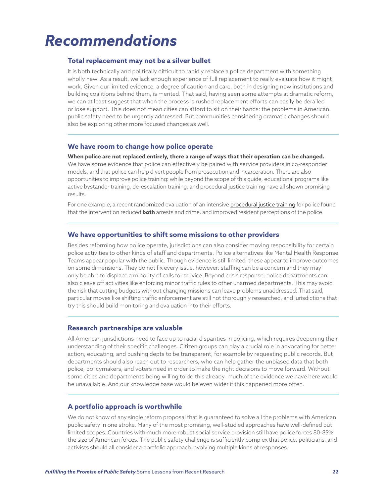# *Recommendations*

#### **Total replacement may not be a silver bullet**

It is both technically and politically difficult to rapidly replace a police department with something wholly new. As a result, we lack enough experience of full replacement to really evaluate how it might work. Given our limited evidence, a degree of caution and care, both in designing new institutions and building coalitions behind them, is merited. That said, having seen some attempts at dramatic reform, we can at least suggest that when the process is rushed replacement efforts can easily be derailed or lose support. This does not mean cities can afford to sit on their hands: the problems in American public safety need to be urgently addressed. But communities considering dramatic changes should also be exploring other more focused changes as well.

#### **We have room to change how police operate**

**When police are not replaced entirely, there a range of ways that their operation can be changed.** 

We have some evidence that police can effectively be paired with service providers in co-responder models, and that police can help divert people from prosecution and incarceration. There are also opportunities to improve police training: while beyond the scope of this guide, educational programs like active bystander training, de-escalation training, and procedural justice training have all shown promising results.

For one example, a recent randomized evaluation of an intensive [procedural justice training](https://www.pnas.org/doi/full/10.1073/pnas.2118780119) for police found that the intervention reduced **both** arrests and crime, and improved resident perceptions of the police.

#### **We have opportunities to shift some missions to other providers**

Besides reforming how police operate, jurisdictions can also consider moving responsibility for certain police activities to other kinds of staff and departments. Police alternatives like Mental Health Response Teams appear popular with the public. Though evidence is still limited, these appear to improve outcomes on some dimensions. They do not fix every issue, however: staffing can be a concern and they may only be able to displace a minority of calls for service. Beyond crisis response, police departments can also cleave off activities like enforcing minor traffic rules to other unarmed departments. This may avoid the risk that cutting budgets without changing missions can leave problems unaddressed. That said, particular moves like shifting traffic enforcement are still not thoroughly researched, and jurisdictions that try this should build monitoring and evaluation into their efforts.

#### **Research partnerships are valuable**

All American jurisdictions need to face up to racial disparities in policing, which requires deepening their understanding of their specific challenges. Citizen groups can play a crucial role in advocating for better action, educating, and pushing depts to be transparent, for example by requesting public records. But departments should also reach out to researchers, who can help gather the unbiased data that both police, policymakers, and voters need in order to make the right decisions to move forward. Without some cities and departments being willing to do this already, much of the evidence we have here would be unavailable. And our knowledge base would be even wider if this happened more often.

#### **A portfolio approach is worthwhile**

We do not know of any single reform proposal that is guaranteed to solve all the problems with American public safety in one stroke. Many of the most promising, well-studied approaches have well-defined but limited scopes. Countries with much more robust social service provision still have police forces 80-85% the size of American forces. The public safety challenge is sufficiently complex that police, politicians, and activists should all consider a portfolio approach involving multiple kinds of responses.